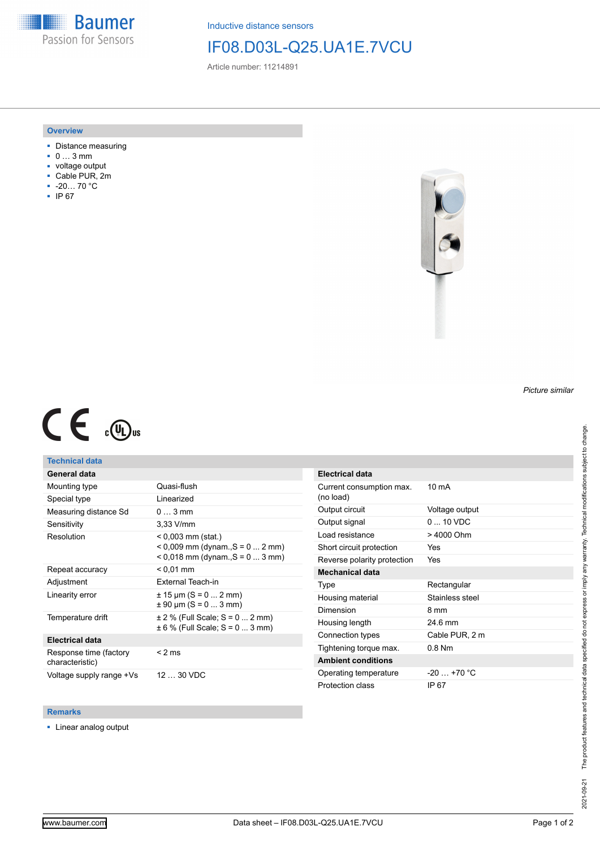**Baumer** Passion for Sensors

Inductive distance sensors

# IF08.D03L-Q25.UA1E.7VCU

Article number: 11214891

### **Overview**

- Distance measuring
- 0 … 3 mm
- voltage output
- Cable PUR, 2m
- -20… 70 °C
- IP 67



# $C \in \mathbb{C}$

## **Technical data**

| General data                              |                                                                                              |
|-------------------------------------------|----------------------------------------------------------------------------------------------|
| Mounting type                             | Quasi-flush                                                                                  |
| Special type                              | Linearized                                                                                   |
| Measuring distance Sd                     | $03$ mm                                                                                      |
| Sensitivity                               | $3.33$ V/mm                                                                                  |
| Resolution                                | $< 0.003$ mm (stat.)<br>$0.009$ mm (dynam., S = 0  2 mm)<br>$0.018$ mm (dynam., S = 0  3 mm) |
| Repeat accuracy                           | $< 0.01$ mm                                                                                  |
|                                           |                                                                                              |
| Adjustment                                | External Teach-in                                                                            |
| Linearity error                           | $\pm$ 15 µm (S = 0  2 mm)<br>$\pm$ 90 µm (S = 0  3 mm)                                       |
| Temperature drift                         | $\pm$ 2 % (Full Scale; S = 0  2 mm)<br>$\pm 6$ % (Full Scale; S = 0  3 mm)                   |
| <b>Electrical data</b>                    |                                                                                              |
| Response time (factory<br>characteristic) | $<$ 2 ms                                                                                     |

| Electrical udia                       |                          |
|---------------------------------------|--------------------------|
| Current consumption max.<br>(no load) | 10 <sub>m</sub> A        |
| Output circuit                        | Voltage output           |
| Output signal                         | $0 \dots 10 \text{ VDC}$ |
| Load resistance                       | > 4000 Ohm               |
| Short circuit protection              | Yes                      |
| Reverse polarity protection           | Yes                      |
| <b>Mechanical data</b>                |                          |
| Type                                  | Rectangular              |
| Housing material                      | Stainless steel          |
| Dimension                             | 8 mm                     |
| Housing length                        | 24.6 mm                  |
| Connection types                      | Cable PUR, 2 m           |
| Tightening torque max.                | $0.8$ Nm                 |
| <b>Ambient conditions</b>             |                          |
| Operating temperature                 | $-20$ +70 °C             |
| Protection class                      | IP 67                    |

#### **Remarks**

■ Linear analog output

*Picture similar*

**Electrical data**